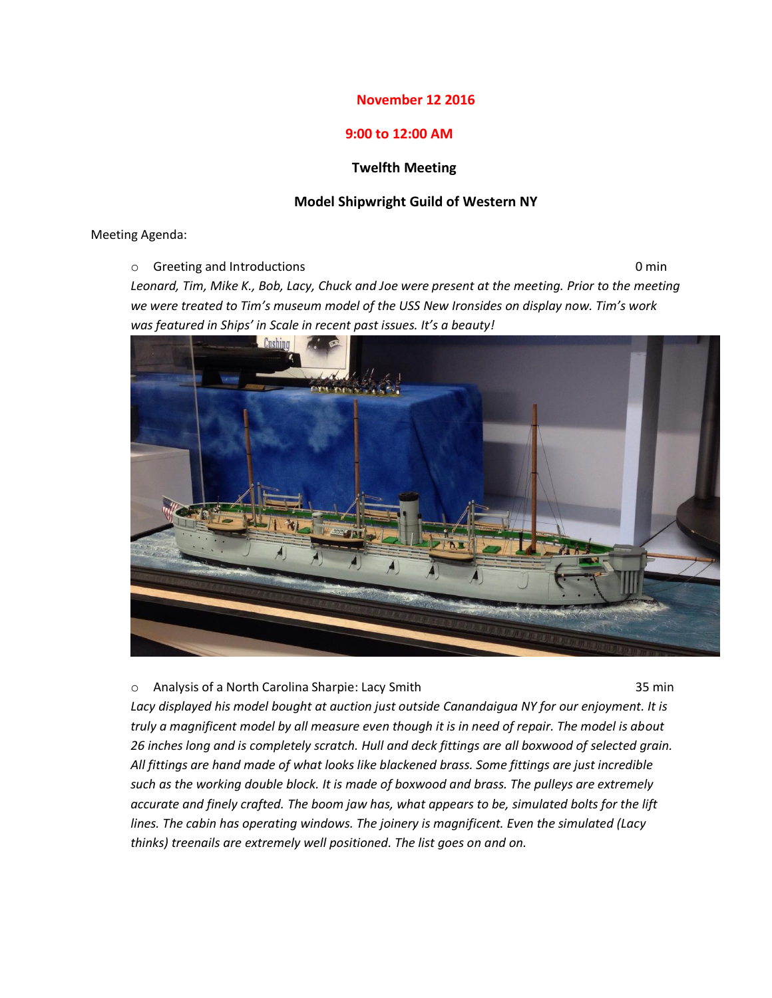# **November 12 2016**

# **9:00 to 12:00 AM**

### **Twelfth Meeting**

### **Model Shipwright Guild of Western NY**

Meeting Agenda:

o Greeting and Introductions 0 min

*Leonard, Tim, Mike K., Bob, Lacy, Chuck and Joe were present at the meeting. Prior to the meeting we were treated to Tim's museum model of the USS New Ironsides on display now. Tim's work was featured in Ships' in Scale in recent past issues. It's a beauty!*



o Analysis of a North Carolina Sharpie: Lacy Smith 35 min

*Lacy displayed his model bought at auction just outside Canandaigua NY for our enjoyment. It is truly a magnificent model by all measure even though it is in need of repair. The model is about 26 inches long and is completely scratch. Hull and deck fittings are all boxwood of selected grain. All fittings are hand made of what looks like blackened brass. Some fittings are just incredible such as the working double block. It is made of boxwood and brass. The pulleys are extremely accurate and finely crafted. The boom jaw has, what appears to be, simulated bolts for the lift lines. The cabin has operating windows. The joinery is magnificent. Even the simulated (Lacy thinks) treenails are extremely well positioned. The list goes on and on.*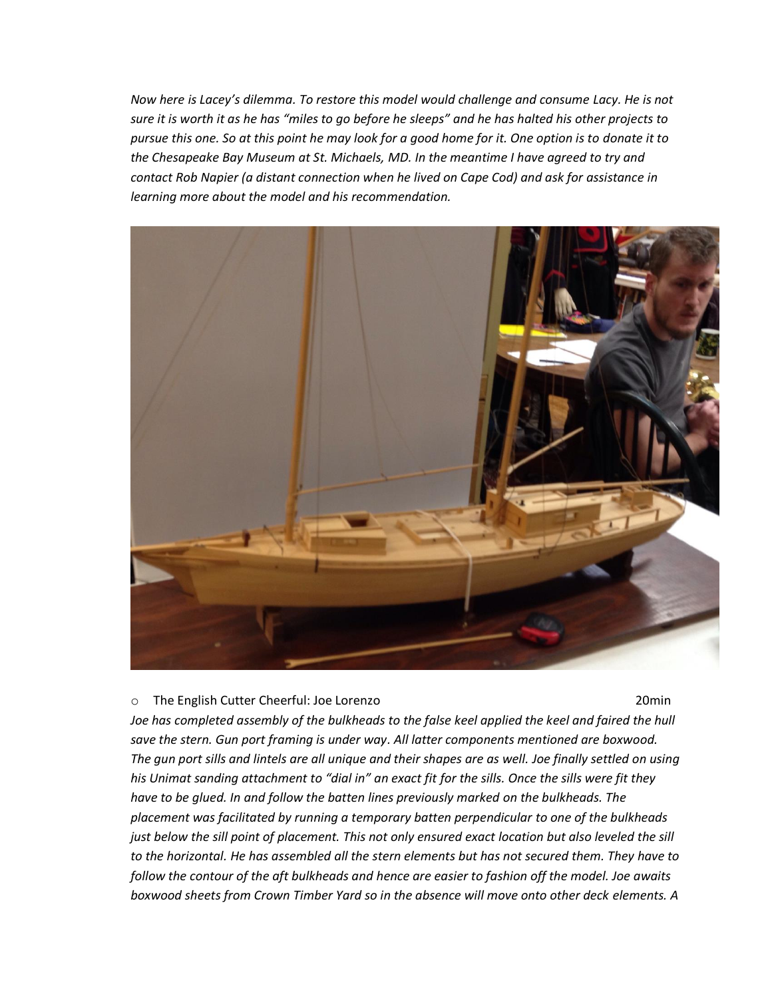*Now here is Lacey's dilemma. To restore this model would challenge and consume Lacy. He is not sure it is worth it as he has "miles to go before he sleeps" and he has halted his other projects to pursue this one. So at this point he may look for a good home for it. One option is to donate it to the Chesapeake Bay Museum at St. Michaels, MD. In the meantime I have agreed to try and contact Rob Napier (a distant connection when he lived on Cape Cod) and ask for assistance in learning more about the model and his recommendation.*



#### o The English Cutter Cheerful: Joe Lorenzo 20min

*Joe has completed assembly of the bulkheads to the false keel applied the keel and faired the hull save the stern. Gun port framing is under way. All latter components mentioned are boxwood. The gun port sills and lintels are all unique and their shapes are as well. Joe finally settled on using his Unimat sanding attachment to "dial in" an exact fit for the sills. Once the sills were fit they have to be glued. In and follow the batten lines previously marked on the bulkheads. The placement was facilitated by running a temporary batten perpendicular to one of the bulkheads just below the sill point of placement. This not only ensured exact location but also leveled the sill to the horizontal. He has assembled all the stern elements but has not secured them. They have to follow the contour of the aft bulkheads and hence are easier to fashion off the model. Joe awaits boxwood sheets from Crown Timber Yard so in the absence will move onto other deck elements. A*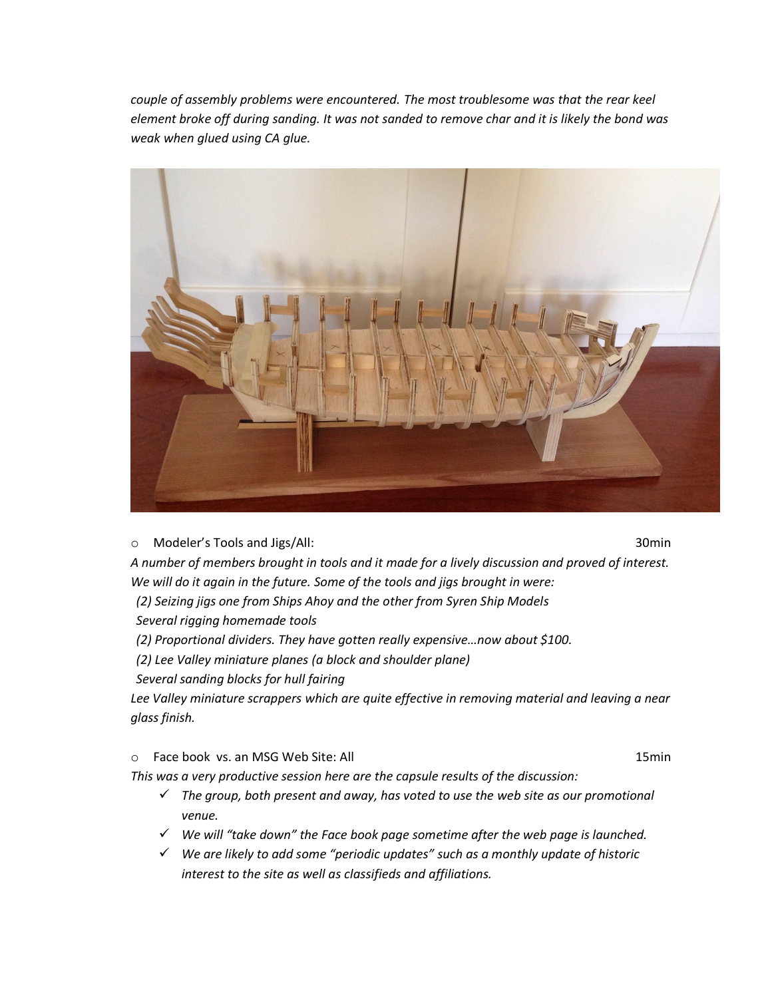*couple of assembly problems were encountered. The most troublesome was that the rear keel element broke off during sanding. It was not sanded to remove char and it is likely the bond was weak when glued using CA glue.*



o Modeler's Tools and Jigs/All: 30min

*A number of members brought in tools and it made for a lively discussion and proved of interest. We will do it again in the future. Some of the tools and jigs brought in were:*

*(2) Seizing jigs one from Ships Ahoy and the other from Syren Ship Models*

*Several rigging homemade tools*

*(2) Proportional dividers. They have gotten really expensive…now about \$100.*

*(2) Lee Valley miniature planes (a block and shoulder plane)*

*Several sanding blocks for hull fairing*

*Lee Valley miniature scrappers which are quite effective in removing material and leaving a near glass finish.*

o Face book vs. an MSG Web Site: All 15min 15min 15min 15min 15min 15min 15min 15min 15min 15min 15min 15min 15min 15min 15min 15min 15min 15min 15min 15min 15min 15min 15min 15min 15min 15min 15min 15min 15min 15min 15min

*This was a very productive session here are the capsule results of the discussion:*

- *The group, both present and away, has voted to use the web site as our promotional venue.*
- *We will "take down" the Face book page sometime after the web page is launched.*
- *We are likely to add some "periodic updates" such as a monthly update of historic interest to the site as well as classifieds and affiliations.*